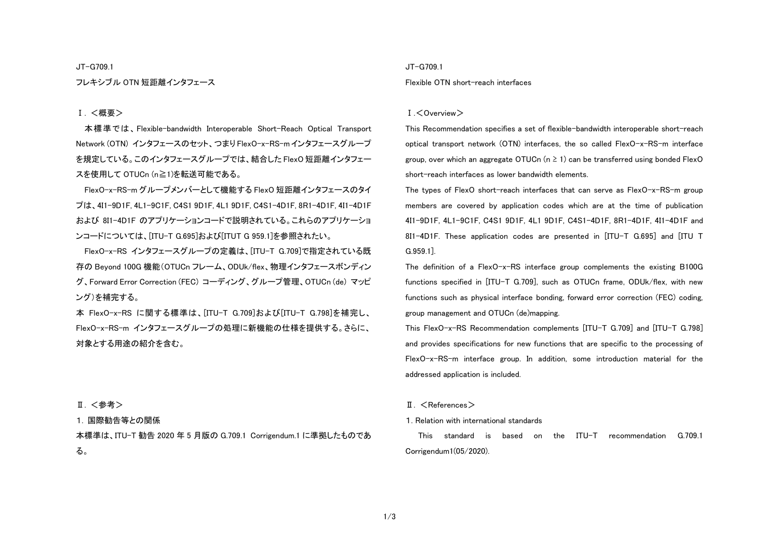JT-G709.1

フレキシブル OTN 短距離インタフェース

### Ⅰ. <概要>

本標準では、Flexible-bandwidth Interoperable Short-Reach Optical Transport Network (OTN) インタフェースのセット、つまり FlexO-x-RS-m インタフェースグループ を規定している。このインタフェースグループでは、結合した FlexO 短距離インタフェー スを使用して OTUCn (n≧1)を転送可能である。

FlexO-x-RS-m グループメンバーとして機能する FlexO 短距離インタフェースのタイ プは、4I1-9D1F, 4L1-9C1F, C4S1 9D1F, 4L1 9D1F, C4S1-4D1F, 8R1-4D1F, 4I1-4D1F および 8I1-4D1F のアプリケーションコードで説明されている。これらのアプリケーショ ンコードについては、[ITU-T G.695]および[ITUT G 959.1]を参照されたい。

FlexO-x-RS インタフェースグループの定義は、[ITU-T G.709]で指定されている既 存の Beyond 100G 機能(OTUCn フレーム、ODUk/flex、物理インタフェースボンディン グ、Forward Error Correction (FEC) コーディング、グループ管理、OTUCn (de) マッピ ング)を補完する。

本 FlexO-x-RS に関する標準は、[ITU-T G.709]および[ITU-T G.798]を補完し、 FlexO-x-RS-m インタフェースグループの処理に新機能の仕様を提供する。さらに、 対象とする用途の紹介を含む。

#### Ⅱ. <参考>

### 1. 国際勧告等との関係

本標準は、ITU-T 勧告 2020 年 5 月版の G.709.1 Corrigendum.1 に準拠したものであ る。

#### JT-G709.1

#### Flexible OTN short-reach interfaces

#### Ⅰ.<Overview>

This Recommendation specifies a set of flexible-bandwidth interoperable short-reach optical transport network (OTN) interfaces, the so called FlexO-x-RS-m interface group, over which an aggregate OTUCn ( $n \geq 1$ ) can be transferred using bonded FlexO short-reach interfaces as lower bandwidth elements.

The types of FlexO short-reach interfaces that can serve as FlexO-x-RS-m group members are covered by application codes which are at the time of publication 4I1-9D1F, 4L1-9C1F, C4S1 9D1F, 4L1 9D1F, C4S1-4D1F, 8R1-4D1F, 4I1-4D1F and 8I1-4D1F. These application codes are presented in [ITU-T G.695] and [ITU T G.959.1].

The definition of a FlexO-x-RS interface group complements the existing B100G functions specified in [ITU-T G.709], such as OTUCn frame, ODUk/flex, with new functions such as physical interface bonding, forward error correction (FEC) coding, group management and OTUCn (de)mapping.

This FlexO-x-RS Recommendation complements [ITU-T G.709] and [ITU-T G.798] and provides specifications for new functions that are specific to the processing of FlexO-x-RS-m interface group. In addition, some introduction material for the addressed application is included.

### II. <References>

1. Relation with international standards

This standard is based on the ITU-T recommendation G.709.1 Corrigendum1(05/2020).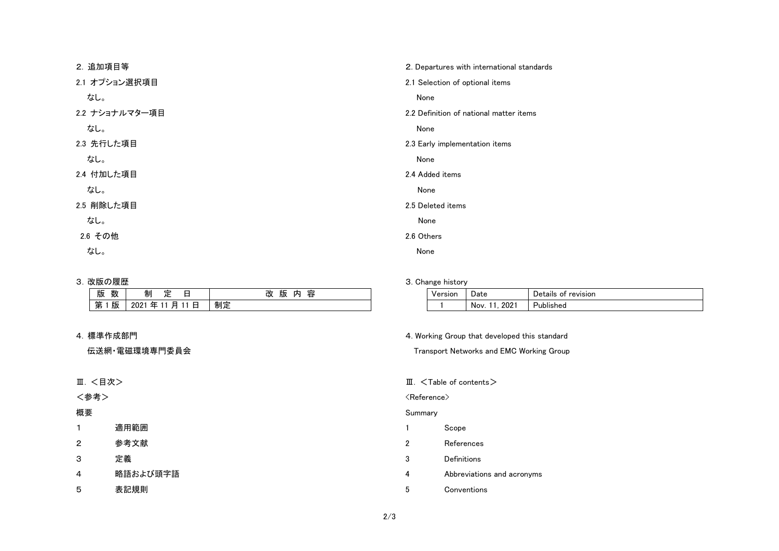| 2. 追加項目等       | 2. Departures with international standards |
|----------------|--------------------------------------------|
| 2.1 オプション選択項目  | 2.1 Selection of optional items            |
| なし。            | None                                       |
| 2.2 ナショナルマター項目 | 2.2 Definition of national matter items    |
| なし。            | None                                       |
| 2.3 先行した項目     | 2.3 Early implementation items             |
| なし。            | None                                       |
| 2.4 付加した項目     | 2.4 Added items                            |
| なし。            | None                                       |
| 2.5 削除した項目     | 2.5 Deleted items                          |
| なし。            | None                                       |
| 2.6 その他        | 2.6 Others                                 |
| なし。            | None                                       |

## 3. 改版の履歴

| 11.1<br>版<br>釵 | 巾り          | 改<br>容<br>版<br>찌 |  |
|----------------|-------------|------------------|--|
| 版<br>第         | 日<br>圧<br>肙 | 制疋               |  |

## 4. 標準作成部門

伝送網・電磁環境専門委員会

# Ⅲ. <目次>

<参考>

# 概要

- 1 適用範囲
- 2 参考文献
- 3 定義
- 4 略語および頭字語
- 5 表記規則

## 3. Change history

| Version | )ate                  | Details of revision |
|---------|-----------------------|---------------------|
|         | $202^{\circ}$<br>Nov. | Published           |

## 4. Working Group that developed this standard

Transport Networks and EMC Working Group

## Ⅲ. <Table of contents>

### $\langle$ Reference $\rangle$

## Summary

- 1 Scope
- 2 References
- 3 Definitions
- 4 Abbreviations and acronyms
- 5 Conventions